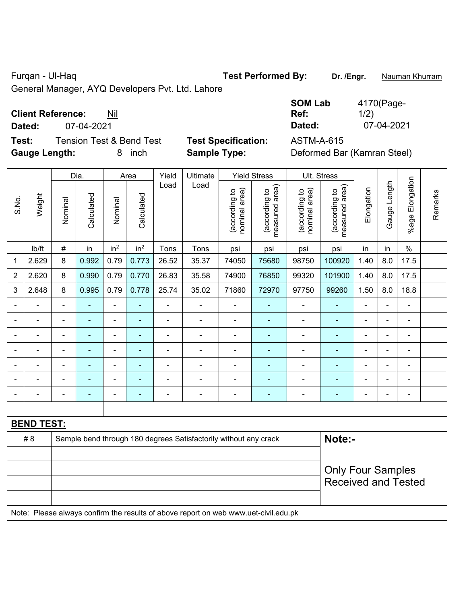# Furqan - Ul-Haq **Test Performed By:** Dr. /Engr. **Nauman Khurram**

General Manager, AYQ Developers Pvt. Ltd. Lahore

## **Client Reference:** Nil

**Dated:** 07-04-2021 **Dated:** 07-04-2021

**Test:** Tension Test & Bend Test **Test Specification:** ASTM-A-615 **Gauge Length:** 8 inch **Sample Type:** Deformed Bar (Kamran Steel)

| <b>SOM Lab</b> | 4170(Page- |
|----------------|------------|
| Ref:           | 1/2)       |
| Dated:         | 07-04-2021 |

|                |                                                                                     |                | Dia.           |                          | Area            | Yield                    | Ultimate                                                         |                                | <b>Yield Stress</b>             |                                | Ult. Stress                     |                |                |                      | Remarks |
|----------------|-------------------------------------------------------------------------------------|----------------|----------------|--------------------------|-----------------|--------------------------|------------------------------------------------------------------|--------------------------------|---------------------------------|--------------------------------|---------------------------------|----------------|----------------|----------------------|---------|
| S.No.          | Weight                                                                              | Nominal        | Calculated     | Nominal                  | Calculated      | Load                     | Load                                                             | nominal area)<br>(according to | (according to<br>measured area) | nominal area)<br>(according to | measured area)<br>(according to | Elongation     | Gauge Length   | Elongation<br>%age l |         |
|                | Ib/ft                                                                               | $\#$           | in             | in <sup>2</sup>          | in <sup>2</sup> | Tons                     | Tons                                                             | psi                            | psi                             | psi                            | psi                             | in             | in             | $\%$                 |         |
| $\mathbf 1$    | 2.629                                                                               | 8              | 0.992          | 0.79                     | 0.773           | 26.52                    | 35.37                                                            | 74050                          | 75680                           | 98750                          | 100920                          | 1.40           | 8.0            | 17.5                 |         |
| $\overline{2}$ | 2.620                                                                               | 8              | 0.990          | 0.79                     | 0.770           | 26.83                    | 35.58                                                            | 74900                          | 76850                           | 99320                          | 101900                          | 1.40           | 8.0            | 17.5                 |         |
| 3              | 2.648                                                                               | 8              | 0.995          | 0.79                     | 0.778           | 25.74                    | 35.02                                                            | 71860                          | 72970                           | 97750                          | 99260                           | 1.50           | 8.0            | 18.8                 |         |
|                | ÷,                                                                                  | $\blacksquare$ | ÷,             | ÷,                       | $\blacksquare$  | $\blacksquare$           | $\blacksquare$                                                   | ä,                             | ÷                               | ÷                              | $\frac{1}{2}$                   | $\blacksquare$ | $\blacksquare$ | $\blacksquare$       |         |
|                | $\blacksquare$                                                                      | $\blacksquare$ | $\blacksquare$ | ÷,                       | $\blacksquare$  | $\overline{\phantom{0}}$ | $\blacksquare$                                                   | ä,                             | ٠                               | $\blacksquare$                 | $\blacksquare$                  | $\blacksquare$ |                | $\blacksquare$       |         |
|                | $\blacksquare$                                                                      | ä,             | $\blacksquare$ | ÷                        | $\blacksquare$  | $\blacksquare$           | $\blacksquare$                                                   | $\blacksquare$                 | ۰                               | $\blacksquare$                 | $\blacksquare$                  | $\blacksquare$ |                | ÷,                   |         |
|                | $\blacksquare$                                                                      |                |                | $\blacksquare$           |                 |                          | Ě.                                                               | $\blacksquare$                 |                                 | $\overline{\phantom{a}}$       | $\blacksquare$                  | $\blacksquare$ |                | $\blacksquare$       |         |
|                |                                                                                     |                |                | $\overline{\phantom{0}}$ |                 |                          | ÷                                                                | $\blacksquare$                 |                                 |                                |                                 |                |                | ۰                    |         |
|                |                                                                                     |                |                |                          |                 |                          |                                                                  | $\blacksquare$                 |                                 |                                |                                 |                |                | ä,                   |         |
| $\blacksquare$ |                                                                                     | $\blacksquare$ | $\blacksquare$ | $\blacksquare$           | $\blacksquare$  | $\overline{\phantom{0}}$ | Ē,                                                               | $\overline{a}$                 | ÷                               | $\blacksquare$                 | ÷                               | $\blacksquare$ | $\blacksquare$ | ä,                   |         |
|                |                                                                                     |                |                |                          |                 |                          |                                                                  |                                |                                 |                                |                                 |                |                |                      |         |
|                | <b>BEND TEST:</b>                                                                   |                |                |                          |                 |                          |                                                                  |                                |                                 |                                |                                 |                |                |                      |         |
|                | #8                                                                                  |                |                |                          |                 |                          | Sample bend through 180 degrees Satisfactorily without any crack |                                |                                 |                                | Note:-                          |                |                |                      |         |
|                |                                                                                     |                |                |                          |                 |                          |                                                                  |                                |                                 |                                |                                 |                |                |                      |         |
|                |                                                                                     |                |                |                          |                 |                          |                                                                  |                                |                                 |                                | <b>Only Four Samples</b>        |                |                |                      |         |
|                |                                                                                     |                |                |                          |                 |                          |                                                                  |                                |                                 |                                | <b>Received and Tested</b>      |                |                |                      |         |
|                |                                                                                     |                |                |                          |                 |                          |                                                                  |                                |                                 |                                |                                 |                |                |                      |         |
|                | Note: Please always confirm the results of above report on web www.uet-civil.edu.pk |                |                |                          |                 |                          |                                                                  |                                |                                 |                                |                                 |                |                |                      |         |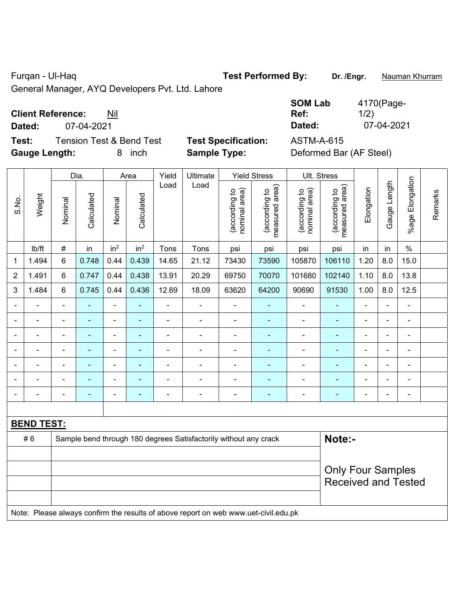Furqan - Ul-Haq **Test Performed By:** Dr. /Engr. **Nauman Khurram** 

General Manager, AYQ Developers Pvt. Ltd. Lahore

## **Client Reference:** Nil

**Dated:** 07-04-2021 **Dated:** 07-04-2021

**Test:** Tension Test & Bend Test **Test Specification:** ASTM-A-615 **Gauge Length:** 8 inch **Sample Type:** Deformed Bar (AF Steel)

| <b>SOM Lab</b> | 4170(Page- |
|----------------|------------|
| Ref:           | 1/2)       |
| Dated:         | 07-04-2021 |

|                |                                                                                     |                          | Dia.           |                          | Area                     | Yield          | Ultimate                                                         |                                | <b>Yield Stress</b>             |                                | Ult. Stress                     |                |                |                          |         |
|----------------|-------------------------------------------------------------------------------------|--------------------------|----------------|--------------------------|--------------------------|----------------|------------------------------------------------------------------|--------------------------------|---------------------------------|--------------------------------|---------------------------------|----------------|----------------|--------------------------|---------|
| S.No.          | Weight                                                                              | Nominal                  | Calculated     | Nominal                  | Calculated               | Load           | Load                                                             | nominal area)<br>(according to | (according to<br>measured area) | (according to<br>nominal area) | (according to<br>measured area) | Elongation     | Gauge Length   | Elongation<br>$%$ age I  | Remarks |
|                | Ib/ft                                                                               | $\#$                     | in             | in <sup>2</sup>          | in <sup>2</sup>          | Tons           | Tons                                                             | psi                            | psi                             | psi                            | psi                             | in             | in             | $\%$                     |         |
| 1              | 1.494                                                                               | 6                        | 0.748          | 0.44                     | 0.439                    | 14.65          | 21.12                                                            | 73430                          | 73590                           | 105870                         | 106110                          | 1.20           | 8.0            | 15.0                     |         |
| $\overline{2}$ | 1.491                                                                               | 6                        | 0.747          | 0.44                     | 0.438                    | 13.91          | 20.29                                                            | 69750                          | 70070                           | 101680                         | 102140                          | 1.10           | 8.0            | 13.8                     |         |
| 3              | 1.484                                                                               | 6                        | 0.745          | 0.44                     | 0.436                    | 12.69          | 18.09                                                            | 63620                          | 64200                           | 90690                          | 91530                           | 1.00           | 8.0            | 12.5                     |         |
|                |                                                                                     | $\blacksquare$           |                | $\blacksquare$           |                          | $\blacksquare$ | $\blacksquare$                                                   | $\blacksquare$                 | ۰                               | $\blacksquare$                 | ÷                               | $\blacksquare$ |                | ä,                       |         |
| $\blacksquare$ |                                                                                     | $\blacksquare$           | $\blacksquare$ | $\blacksquare$           | $\blacksquare$           |                | $\blacksquare$                                                   | $\overline{\phantom{a}}$       | $\blacksquare$                  | $\blacksquare$                 | ÷                               | $\blacksquare$ | $\blacksquare$ | $\overline{\phantom{a}}$ |         |
|                |                                                                                     | $\blacksquare$           | $\blacksquare$ | $\overline{\phantom{a}}$ | $\blacksquare$           | $\blacksquare$ | $\blacksquare$                                                   | $\blacksquare$                 | ٠                               | $\blacksquare$                 | ÷                               | $\blacksquare$ | $\blacksquare$ | $\blacksquare$           |         |
|                |                                                                                     | $\blacksquare$           | $\blacksquare$ | $\blacksquare$           | $\blacksquare$           | ÷              | $\blacksquare$                                                   | ä,                             | ÷                               | $\blacksquare$                 | ÷                               | $\blacksquare$ | $\blacksquare$ | ä,                       |         |
|                |                                                                                     | $\blacksquare$           |                | $\blacksquare$           |                          |                |                                                                  |                                | ۰                               |                                |                                 |                |                | ä,                       |         |
|                |                                                                                     |                          |                |                          |                          |                |                                                                  |                                |                                 |                                |                                 |                |                |                          |         |
|                |                                                                                     | $\blacksquare$           | $\blacksquare$ | $\blacksquare$           | $\overline{\phantom{a}}$ |                | $\overline{\phantom{0}}$                                         | $\overline{a}$                 | $\overline{\phantom{0}}$        | $\blacksquare$                 | ۰                               | $\blacksquare$ | $\blacksquare$ |                          |         |
|                |                                                                                     |                          |                |                          |                          |                |                                                                  |                                |                                 |                                |                                 |                |                |                          |         |
|                | <b>BEND TEST:</b>                                                                   |                          |                |                          |                          |                |                                                                  |                                |                                 |                                |                                 |                |                |                          |         |
|                | #6                                                                                  |                          |                |                          |                          |                | Sample bend through 180 degrees Satisfactorily without any crack |                                |                                 |                                | Note:-                          |                |                |                          |         |
|                |                                                                                     |                          |                |                          |                          |                |                                                                  |                                |                                 |                                |                                 |                |                |                          |         |
|                |                                                                                     | <b>Only Four Samples</b> |                |                          |                          |                |                                                                  |                                |                                 |                                |                                 |                |                |                          |         |
|                |                                                                                     |                          |                |                          |                          |                |                                                                  |                                |                                 | <b>Received and Tested</b>     |                                 |                |                |                          |         |
|                |                                                                                     |                          |                |                          |                          |                |                                                                  |                                |                                 |                                |                                 |                |                |                          |         |
|                | Note: Please always confirm the results of above report on web www.uet-civil.edu.pk |                          |                |                          |                          |                |                                                                  |                                |                                 |                                |                                 |                |                |                          |         |